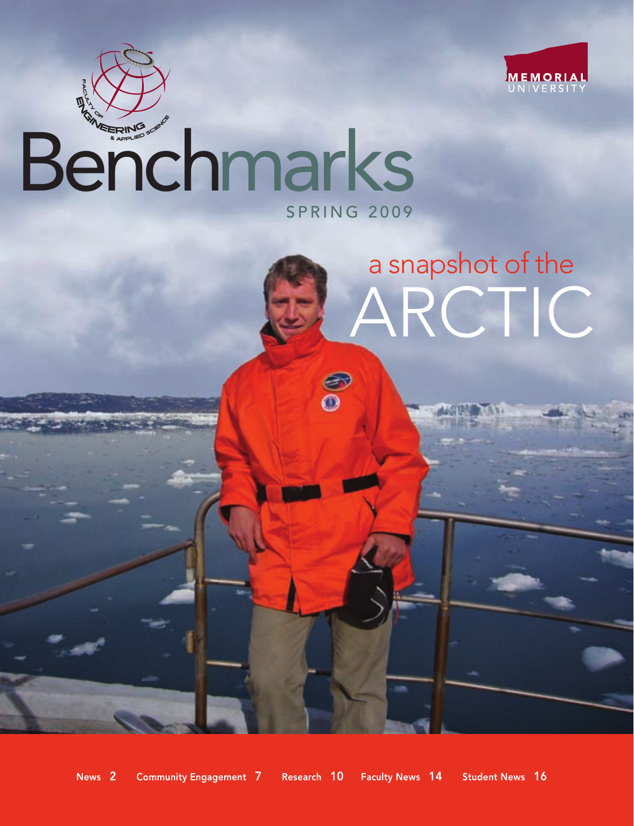

# SPRING 2009 Benchmarks

# ARCTIC a snapshot of the

News 2 Community Engagement 7 Research 10 Faculty News 14 Student News 16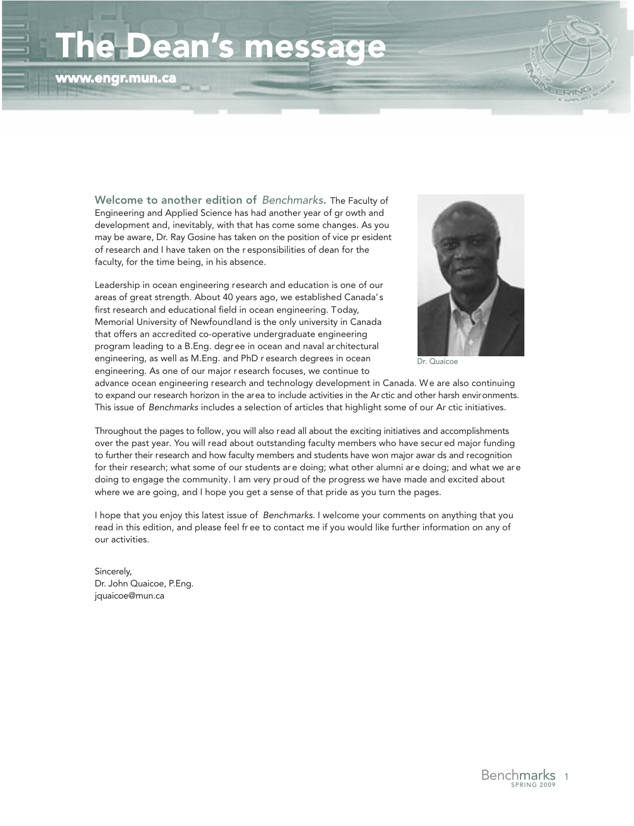# Dean's message

www.engr.mun.ca



Welcome to another edition of Benchmarks. The Faculty of Engineering and Applied Science has had another year of gr owth and development and, inevitably, with that has come some changes. As you may be aware, Dr. Ray Gosine has taken on the position of vice pr esident of research and I have taken on the r esponsibilities of dean for the faculty, for the time being, in his absence.

Leadership in ocean engineering research and education is one of our areas of great strength. About 40 years ago, we established Canada's first research and educational field in ocean engineering. Today, Memorial University of Newfound land is the only university in Canada that offers an accredited co-operative undergraduate engineering program leading to a B.Eng. degree in ocean and naval architectural engineering, as well as M.Eng. and PhD r esearch degrees in ocean engineering. As one of our major r esearch focuses, we continue to



Dr. Quaicoe

advance ocean engineering research and technology development in Canada. We are also continuing to expand our research horizon in the area to include activities in the Arctic and other harsh environments. This issue of Benchmarks includes a selection of articles that highlight some of our Ar ctic initiatives.

Throughout the pages to follow, you will also read all about the exciting initiatives and accomplishments over the past year. You will read about outstanding faculty members who have secur ed major funding to further their research and how faculty members and students have won major awar ds and recognition for their research; what some of our students are doing; what other alumni are doing; and what we are doing to engage the community. I am very proud of the progress we have made and excited about where we are going, and I hope you get a sense of that pride as you turn the pages.

I hope that you enjoy this latest issue of Benchmarks. I welcome your comments on anything that you read in this edition, and please feel fr ee to contact me if you would like further information on any of our activities.

Sincerely, Dr. John Quaicoe, P.Eng. jquaicoe@mun.ca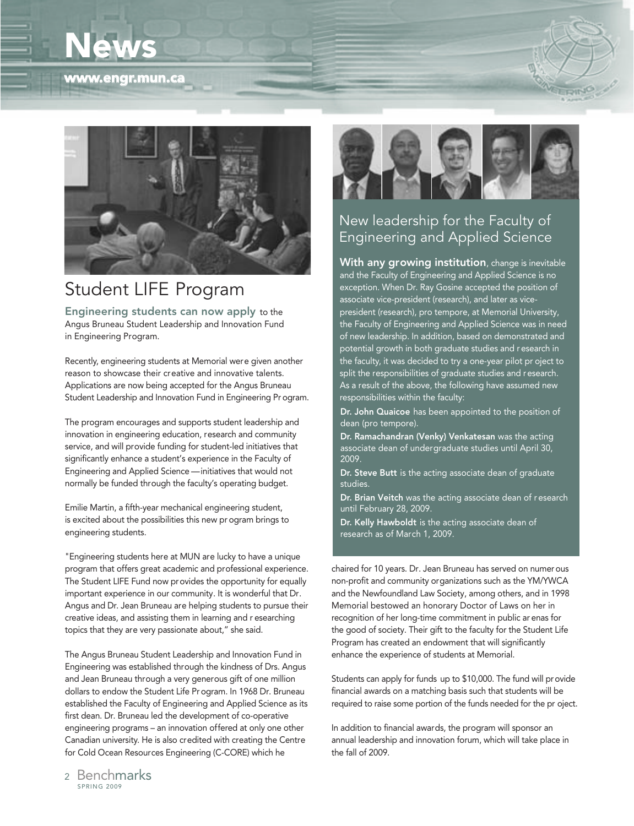# News







## Student LIFE Program

Engineering students can now apply to the Angus Bruneau Student Leadership and Innovation Fund in Engineering Program.

Recently, engineering students at Memorial were given another reason to showcase their creative and innovative talents. Applications are now being accepted for the Angus Bruneau Student Leadership and Innovation Fund in Engineering Pr ogram.

The program encourages and supports student leadership and innovation in engineering education, research and community service, and will provide funding for student-led initiatives that significantly enhance a student's experience in the Faculty of Engineering and Applied Science — initiatives that would not normally be funded through the faculty's operating budget.

Emilie Martin, a fifth-year mechanical engineering student, is excited about the possibilities this new pr ogram brings to engineering students.

"Engineering students here at MUN are lucky to have a unique program that offers great academic and professional experience. The Student LIFE Fund now provides the opportunity for equally important experience in our community. It is wonderful that Dr. Angus and Dr. Jean Bruneau are helping students to pursue their creative ideas, and assisting them in learning and r esearching topics that they are very passionate about," she said.

The Angus Bruneau Student Leadership and Innovation Fund in Engineering was established through the kindness of Drs. Angus and Jean Bruneau through a very generous gift of one million dollars to endow the Student Life Program. In 1968 Dr. Bruneau established the Faculty of Engineering and Applied Science as its first dean. Dr. Bruneau led the development of co-operative engineering programs – an innovation offered at only one other Canadian university. He is also credited with creating the Centre for Cold Ocean Resources Engineering (C-CORE) which he



### New leadership for the Faculty of Engineering and Applied Science

With any growing institution, change is inevitable and the Faculty of Engineering and Applied Science is no exception. When Dr. Ray Gosine accepted the position of associate vice-president (research), and later as vicepresident (research), pro tempore, at Memorial University, the Faculty of Engineering and Applied Science was in need of new leadership. In addition, based on demonstrated and potential growth in both graduate studies and research in the faculty, it was decided to try a one-year pilot pr oject to split the responsibilities of graduate studies and research. As a result of the above, the following have assumed new responsibilities within the faculty:

Dr. John Quaicoe has been appointed to the position of dean (pro tempore).

Dr. Ramachandran (Venky) Venkatesan was the acting associate dean of undergraduate studies until April 30, 2009.

Dr. Steve Butt is the acting associate dean of graduate studies.

Dr. Brian Veitch was the acting associate dean of r esearch until February 28, 2009.

Dr. Kelly Hawboldt is the acting associate dean of research as of March 1, 2009.

chaired for 10 years. Dr. Jean Bruneau has served on numerous non-profit and community organizations such as the YM/YWCA and the Newfoundland Law Society, among others, and in 1998 Memorial bestowed an honorary Doctor of Laws on her in recognition of her long-time commitment in public ar enas for the good of society. Their gift to the faculty for the Student Life Program has created an endowment that will significantly enhance the experience of students at Memorial.

Students can apply for funds up to \$10,000. The fund will provide financial awards on a matching basis such that students will be required to raise some portion of the funds needed for the pr oject.

In addition to financial awards, the program will sponsor an annual leadership and innovation forum, which will take place in the fall of 2009.

SPRING 2009 <sup>2</sup> Benchmarks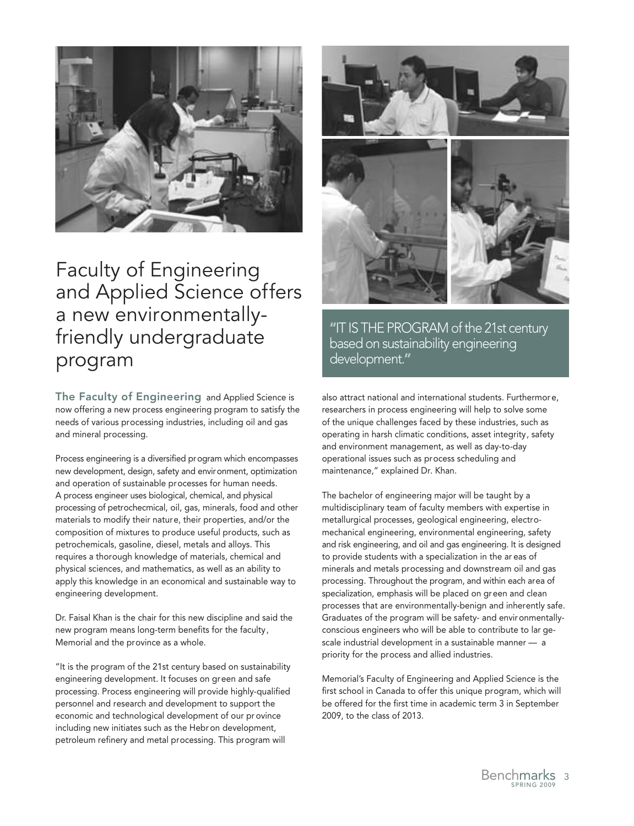

## Faculty of Engineering and Applied Science offers a new environmentallyfriendly undergraduate program

The Faculty of Engineering and Applied Science is now offering a new process engineering program to satisfy the needs of various processing industries, including oil and gas and mineral processing.

Process engineering is a diversified program which encompasses new development, design, safety and environment, optimization and operation of sustainable processes for human needs. A process engineer uses biological, chemical, and physical processing of petrochecmical, oil, gas, minerals, food and other materials to modify their nature, their properties, and/or the composition of mixtures to produce useful products, such as petrochemicals, gasoline, diesel, metals and alloys. This requires a thorough knowledge of materials, chemical and physical sciences, and mathematics, as well as an ability to apply this knowledge in an economical and sustainable way to engineering development.

Dr. Faisal Khan is the chair for this new discipline and said the new program means long-term benefits for the faculty, Memorial and the province as a whole.

"It is the program of the 21st century based on sustainability engineering development. It focuses on green and safe processing. Process engineering will provide highly-qualified personnel and research and development to support the economic and technological development of our pr ovince including new initiates such as the Hebr on development, petroleum refinery and metal processing. This program will



"IT IS THE PROGRAM of the 21st century based on sustainability engineering development."

also attract national and international students. Furthermor e, researchers in process engineering will help to solve some of the unique challenges faced by these industries, such as operating in harsh climatic conditions, asset integrity, safety and environment management, as well as day-to-day operational issues such as process scheduling and maintenance," explained Dr. Khan.

The bachelor of engineering major will be taught by a multidisciplinary team of faculty members with expertise in metallurgical processes, geological engineering, electromechanical engineering, environmental engineering, safety and risk engineering, and oil and gas engineering. It is designed to provide students with a specialization in the ar eas of minerals and metals processing and downstream oil and gas processing. Throughout the program, and within each area of specialization, emphasis will be placed on green and clean processes that are environmentally-benign and inherently safe. Graduates of the program will be safety- and environmentallyconscious engineers who will be able to contribute to lar gescale industrial development in a sustainable manner — a priority for the process and allied industries.

Memorial's Faculty of Engineering and Applied Science is the first school in Canada to offer this unique program, which will be offered for the first time in academic term 3 in September 2009, to the class of 2013.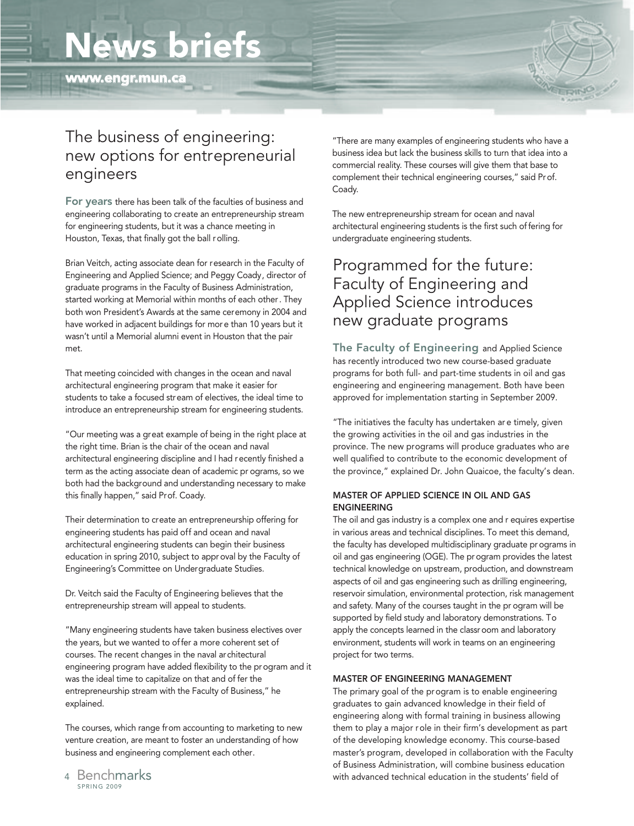# News briefs

www.engr.mun.ca



## The business of engineering: new options for entrepreneurial engineers

For years there has been talk of the faculties of business and engineering collaborating to create an entrepreneurship stream for engineering students, but it was a chance meeting in Houston, Texas, that finally got the ball rolling.

Brian Veitch, acting associate dean for research in the Faculty of Engineering and Applied Science; and Peggy Coady, director of graduate programs in the Faculty of Business Administration, started working at Memorial within months of each other. They both won President's Awards at the same ceremony in 2004 and have worked in adjacent buildings for more than 10 years but it wasn't until a Memorial alumni event in Houston that the pair met.

That meeting coincided with changes in the ocean and naval architectural engineering program that make it easier for students to take a focused stream of electives, the ideal time to introduce an entrepreneurship stream for engineering students.

"Our meeting was a great example of being in the right place at the right time. Brian is the chair of the ocean and naval architectural engineering discipline and I had recently finished a term as the acting associate dean of academic pr ograms, so we both had the background and understanding necessary to make this finally happen," said Prof. Coady.

Their determination to create an entrepreneurship offering for engineering students has paid off and ocean and naval architectural engineering students can begin their business education in spring 2010, subject to approval by the Faculty of Engineering's Committee on Undergraduate Studies.

Dr. Veitch said the Faculty of Engineering believes that the entrepreneurship stream will appeal to students.

"Many engineering students have taken business electives over the years, but we wanted to offer a more coherent set of courses. The recent changes in the naval architectural engineering program have added flexibility to the program and it was the ideal time to capitalize on that and of fer the entrepreneurship stream with the Faculty of Business," he explained.

The courses, which range from accounting to marketing to new venture creation, are meant to foster an understanding of how business and engineering complement each other.

"There are many examples of engineering students who have a business idea but lack the business skills to turn that idea into a commercial reality. These courses will give them that base to complement their technical engineering courses," said Prof. Coady.

The new entrepreneurship stream for ocean and naval architectural engineering students is the first such of fering for undergraduate engineering students.

### Programmed for the future: Faculty of Engineering and Applied Science introduces new graduate programs

The Faculty of Engineering and Applied Science has recently introduced two new course-based graduate programs for both full- and part-time students in oil and gas engineering and engineering management. Both have been approved for implementation starting in September 2009.

"The initiatives the faculty has undertaken ar e timely, given the growing activities in the oil and gas industries in the province. The new programs will produce graduates who are well qualified to contribute to the economic development of the province," explained Dr. John Quaicoe, the faculty's dean.

#### MASTER OF APPLIED SCIENCE IN OIL AND GAS ENGINEERING

The oil and gas industry is a complex one and r equires expertise in various areas and technical disciplines. To meet this demand, the faculty has developed multidisciplinary graduate programs in oil and gas engineering (OGE). The program provides the latest technical knowledge on upstream, production, and downstream aspects of oil and gas engineering such as drilling engineering, reservoir simulation, environmental protection, risk management and safety. Many of the courses taught in the pr ogram will be supported by field study and laboratory demonstrations. To apply the concepts learned in the classroom and laboratory environment, students will work in teams on an engineering project for two terms.

#### MASTER OF ENGINEERING MANAGEMENT

The primary goal of the program is to enable engineering graduates to gain advanced knowledge in their field of engineering along with formal training in business allowing them to play a major role in their firm's development as part of the developing knowledge economy. This course-based master's program, developed in collaboration with the Faculty of Business Administration, will combine business education with advanced technical education in the students' field of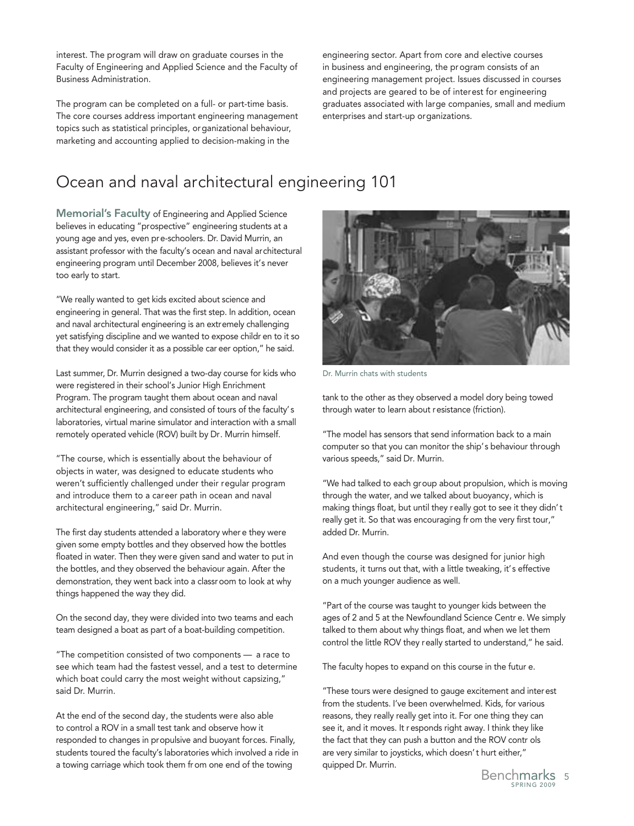interest. The program will draw on graduate courses in the Faculty of Engineering and Applied Science and the Faculty of Business Administration.

The program can be completed on a full- or part-time basis. The core courses address important engineering management topics such as statistical principles, organizational behaviour, marketing and accounting applied to decision-making in the

engineering sector. Apart from core and elective courses in business and engineering, the program consists of an engineering management project. Issues discussed in courses and projects are geared to be of interest for engineering graduates associated with large companies, small and medium enterprises and start-up organizations.

## Ocean and naval architectural engineering 101

Memorial's Faculty of Engineering and Applied Science believes in educating "prospective" engineering students at a young age and yes, even pre-schoolers. Dr. David Murrin, an assistant professor with the faculty's ocean and naval architectural engineering program until December 2008, believes it's never too early to start.

"We really wanted to get kids excited about science and engineering in general. That was the first step. In addition, ocean and naval architectural engineering is an extremely challenging yet satisfying discipline and we wanted to expose childr en to it so that they would consider it as a possible car eer option," he said.

Last summer, Dr. Murrin designed a two-day course for kids who were registered in their school's Junior High Enrichment Program. The program taught them about ocean and naval architectural engineering, and consisted of tours of the faculty's laboratories, virtual marine simulator and interaction with a small remotely operated vehicle (ROV) built by Dr. Murrin himself.

"The course, which is essentially about the behaviour of objects in water, was designed to educate students who weren't sufficiently challenged under their regular program and introduce them to a career path in ocean and naval architectural engineering," said Dr. Murrin.

The first day students attended a laboratory wher e they were given some empty bottles and they observed how the bottles floated in water. Then they were given sand and water to put in the bottles, and they observed the behaviour again. After the demonstration, they went back into a classroom to look at why things happened the way they did.

On the second day, they were divided into two teams and each team designed a boat as part of a boat-building competition.

"The competition consisted of two components — a race to see which team had the fastest vessel, and a test to determine which boat could carry the most weight without capsizing," said Dr. Murrin.

At the end of the second day, the students were also able to control a ROV in a small test tank and observe how it responded to changes in propulsive and buoyant forces. Finally, students toured the faculty's laboratories which involved a ride in a towing carriage which took them from one end of the towing



Dr. Murrin chats with students

tank to the other as they observed a model dory being towed through water to learn about resistance (friction).

"The model has sensors that send information back to a main computer so that you can monitor the ship's behaviour through various speeds," said Dr. Murrin.

"We had talked to each group about propulsion, which is moving through the water, and we talked about buoyancy, which is making things float, but until they really got to see it they didn't really get it. So that was encouraging fr om the very first tour," added Dr. Murrin.

And even though the course was designed for junior high students, it turns out that, with a little tweaking, it's effective on a much younger audience as well.

"Part of the course was taught to younger kids between the ages of 2 and 5 at the Newfoundland Science Centr e. We simply talked to them about why things float, and when we let them control the little ROV they really started to understand," he said.

The faculty hopes to expand on this course in the futur e.

"These tours were designed to gauge excitement and interest from the students. I've been overwhelmed. Kids, for various reasons, they really really get into it. For one thing they can see it, and it moves. It responds right away. I think they like the fact that they can push a button and the ROV contr ols are very similar to joysticks, which doesn't hurt either," quipped Dr. Murrin.

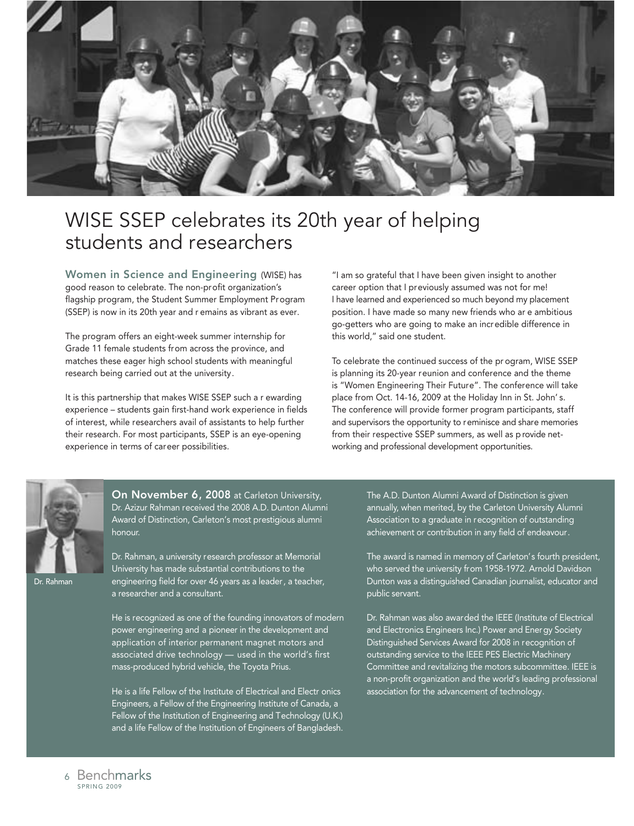

## WISE SSEP celebrates its 20th year of helping students and researchers

Women in Science and Engineering (WISE) has good reason to celebrate. The non-profit organization's flagship program, the Student Summer Employment Program (SSEP) is now in its 20th year and r emains as vibrant as ever.

The program offers an eight-week summer internship for Grade 11 female students from across the province, and matches these eager high school students with meaningful research being carried out at the university.

It is this partnership that makes WISE SSEP such a r ewarding experience – students gain first-hand work experience in fields of interest, while researchers avail of assistants to help further their research. For most participants, SSEP is an eye-opening experience in terms of career possibilities.

"I am so grateful that I have been given insight to another career option that I previously assumed was not for me! I have learned and experienced so much beyond my placement position. I have made so many new friends who ar e ambitious go-getters who are going to make an incredible difference in this world," said one student.

To celebrate the continued success of the pr ogram, WISE SSEP is planning its 20-year reunion and conference and the theme is "Women Engineering Their Future". The conference will take place from Oct. 14-16, 2009 at the Holiday Inn in St. John' s. The conference will provide former program participants, staff and supervisors the opportunity to reminisce and share memories from their respective SSEP summers, as well as p rovide networking and professional development opportunities.



Rahman

On November 6, 2008 at Carleton University, Dr. Azizur Rahman received the 2008 A.D. Dunton Alumni Award of Distinction, Carleton's most prestigious alumni honour.

Dr. Rahman, a university research professor at Memorial University has made substantial contributions to the engineering field for over 46 years as a leader, a teacher, a researcher and a consultant.

He is recognized as one of the founding innovators of modern power engineering and a pioneer in the development and application of interior permanent magnet motors and associated drive technology — used in the world's first mass-produced hybrid vehicle, the Toyota Prius.

He is a life Fellow of the Institute of Electrical and Electr onics Engineers, a Fellow of the Engineering Institute of Canada, a Fellow of the Institution of Engineering and Technology (U.K.) and a life Fellow of the Institution of Engineers of Bangladesh.

The A.D. Dunton Alumni Award of Distinction is given annually, when merited, by the Carleton University Alumni Association to a graduate in recognition of outstanding achievement or contribution in any field of endeavour.

The award is named in memory of Carleton's fourth president, who served the university from 1958-1972. Arnold Davidson Dunton was a distinguished Canadian journalist, educator and public servant.

Dr. Rahman was also awarded the IEEE (Institute of Electrical and Electronics Engineers Inc.) Power and Energy Society Distinguished Services Award for 2008 in recognition of outstanding service to the IEEE PES Electric Machinery Committee and revitalizing the motors subcommittee. IEEE is a non-profit organization and the world's leading professional association for the advancement of technology.

SPRING 2009 <sup>6</sup> Benchmarks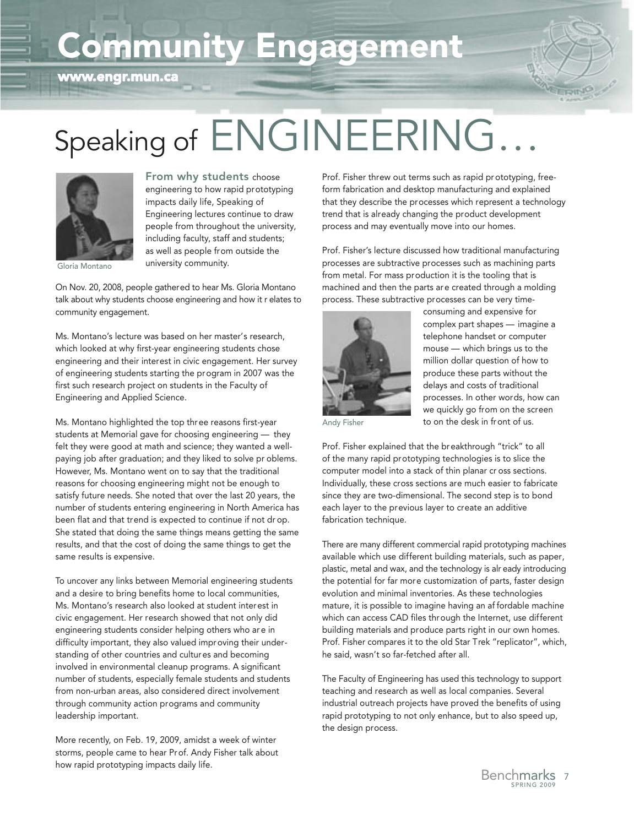# Community Engagement



# Speaking of ENGINEERING.



From why students choose engineering to how rapid prototyping impacts daily life, Speaking of Engineering lectures continue to draw people from throughout the university, including faculty, staff and students; as well as people from outside the university community.

Gloria Montano

On Nov. 20, 2008, people gathered to hear Ms. Gloria Montano talk about why students choose engineering and how it r elates to community engagement.

Ms. Montano's lecture was based on her master's research, which looked at why first-year engineering students chose engineering and their interest in civic engagement. Her survey of engineering students starting the program in 2007 was the first such research project on students in the Faculty of Engineering and Applied Science.

Ms. Montano highlighted the top three reasons first-year students at Memorial gave for choosing engineering — they felt they were good at math and science; they wanted a wellpaying job after graduation; and they liked to solve pr oblems. However, Ms. Montano went on to say that the traditional reasons for choosing engineering might not be enough to satisfy future needs. She noted that over the last 20 years, the number of students entering engineering in North America has been flat and that trend is expected to continue if not dr op. She stated that doing the same things means getting the same results, and that the cost of doing the same things to get the same results is expensive.

To uncover any links between Memorial engineering students and a desire to bring benefits home to local communities, Ms. Montano's research also looked at student interest in civic engagement. Her research showed that not only did engineering students consider helping others who ar e in difficulty important, they also valued improving their under standing of other countries and cultures and becoming involved in environmental cleanup programs. A significant number of students, especially female students and students from non-urban areas, also considered direct involvement through community action programs and community leadership important.

More recently, on Feb. 19, 2009, amidst a week of winter storms, people came to hear Prof. Andy Fisher talk about how rapid prototyping impacts daily life.

Prof. Fisher threw out terms such as rapid pr ototyping, freeform fabrication and desktop manufacturing and explained that they describe the processes which represent a technology trend that is already changing the product development process and may eventually move into our homes.

Prof. Fisher's lecture discussed how traditional manufacturing processes are subtractive processes such as machining parts from metal. For mass production it is the tooling that is machined and then the parts are created through a molding process. These subtractive processes can be very time-



consuming and expensive for complex part shapes — imagine a telephone handset or computer mouse — which brings us to the million dollar question of how to produce these parts without the delays and costs of traditional processes. In other words, how can we quickly go from on the screen to on the desk in front of us.

Andy Fisher

Prof. Fisher explained that the breakthrough "trick" to all of the many rapid prototyping technologies is to slice the computer model into a stack of thin planar cr oss sections. Individually, these cross sections are much easier to fabricate since they are two-dimensional. The second step is to bond each layer to the previous layer to create an additive fabrication technique.

There are many different commercial rapid prototyping machines available which use different building materials, such as paper, plastic, metal and wax, and the technology is alr eady introducing the potential for far more customization of parts, faster design evolution and minimal inventories. As these technologies mature, it is possible to imagine having an af fordable machine which can access CAD files through the Internet, use different building materials and produce parts right in our own homes. Prof. Fisher compares it to the old Star Trek "replicator", which, he said, wasn't so far-fetched after all.

The Faculty of Engineering has used this technology to support teaching and research as well as local companies. Several industrial outreach projects have proved the benefits of using rapid prototyping to not only enhance, but to also speed up, the design process.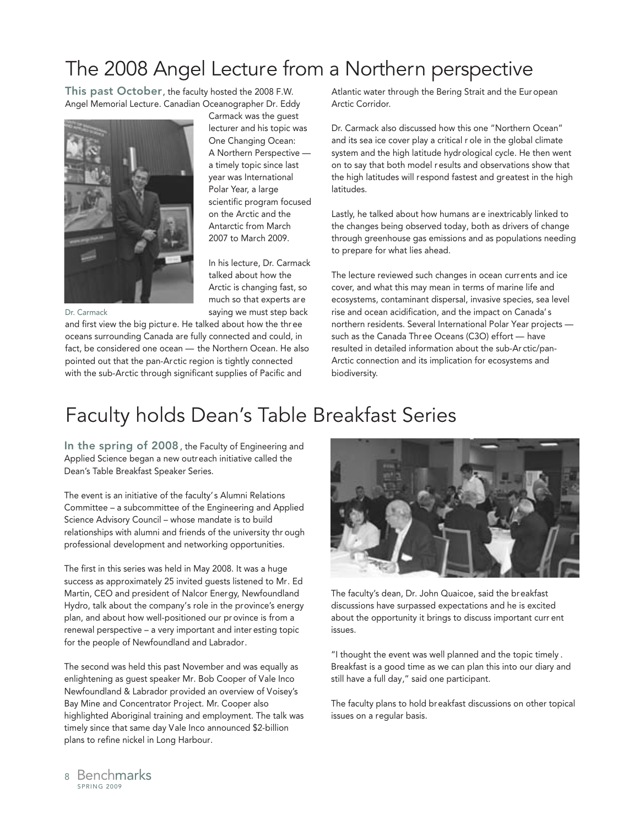# The 2008 Angel Lecture from a Northern perspective

Carmack was the guest lecturer and his topic was One Changing Ocean: A Northern Perspective a timely topic since last year was International Polar Year, a large scientific program focused on the Arctic and the Antarctic from March 2007 to March 2009.

This past October, the faculty hosted the 2008 F.W. Angel Memorial Lecture. Canadian Oceanographer Dr. Eddy



Dr. Carmack

saying we must step back and first view the big picture. He talked about how the thr ee oceans surrounding Canada are fully connected and could, in fact, be considered one ocean — the Northern Ocean. He also pointed out that the pan-Arctic region is tightly connected with the sub-Arctic through significant supplies of Pacific and

Atlantic water through the Bering Strait and the Eur opean Arctic Corridor.

Dr. Carmack also discussed how this one "Northern Ocean" and its sea ice cover play a critical r ole in the global climate system and the high latitude hydrological cycle. He then went on to say that both model r esults and observations show that the high latitudes will respond fastest and greatest in the high latitudes.

Lastly, he talked about how humans ar e inextricably linked to the changes being observed today, both as drivers of change through greenhouse gas emissions and as populations needing to prepare for what lies ahead.

The lecture reviewed such changes in ocean currents and ice cover, and what this may mean in terms of marine life and ecosystems, contaminant dispersal, invasive species, sea level rise and ocean acidification, and the impact on Canada' s northern residents. Several International Polar Year projects such as the Canada Three Oceans (C3O) effort — have resulted in detailed information about the sub-Ar ctic/pan-Arctic connection and its implication for ecosystems and biodiversity.

# Faculty holds Dean's Table Breakfast Series

In his lecture, Dr. Carmack talked about how the Arctic is changing fast, so much so that experts are

In the spring of 2008, the Faculty of Engineering and Applied Science began a new outreach initiative called the Dean's Table Breakfast Speaker Series.

The event is an initiative of the faculty's Alumni Relations Committee – a subcommittee of the Engineering and Applied Science Advisory Council – whose mandate is to build relationships with alumni and friends of the university thr ough professional development and networking opportunities.

The first in this series was held in May 2008. It was a huge success as approximately 25 invited guests listened to Mr. Ed Martin, CEO and president of Nalcor Energy, Newfoundland Hydro, talk about the company's role in the province's energy plan, and about how well-positioned our pr ovince is from a renewal perspective – a very important and inter esting topic for the people of Newfoundland and Labrador.

The second was held this past November and was equally as enlightening as guest speaker Mr. Bob Cooper of Vale Inco Newfoundland & Labrador provided an overview of Voisey's Bay Mine and Concentrator Project. Mr. Cooper also highlighted Aboriginal training and employment. The talk was timely since that same day Vale Inco announced \$2-billion plans to refine nickel in Long Harbour.



The faculty's dean, Dr. John Quaicoe, said the breakfast discussions have surpassed expectations and he is excited about the opportunity it brings to discuss important curr ent issues.

"I thought the event was well planned and the topic timely . Breakfast is a good time as we can plan this into our diary and still have a full day," said one participant.

The faculty plans to hold breakfast discussions on other topical issues on a regular basis.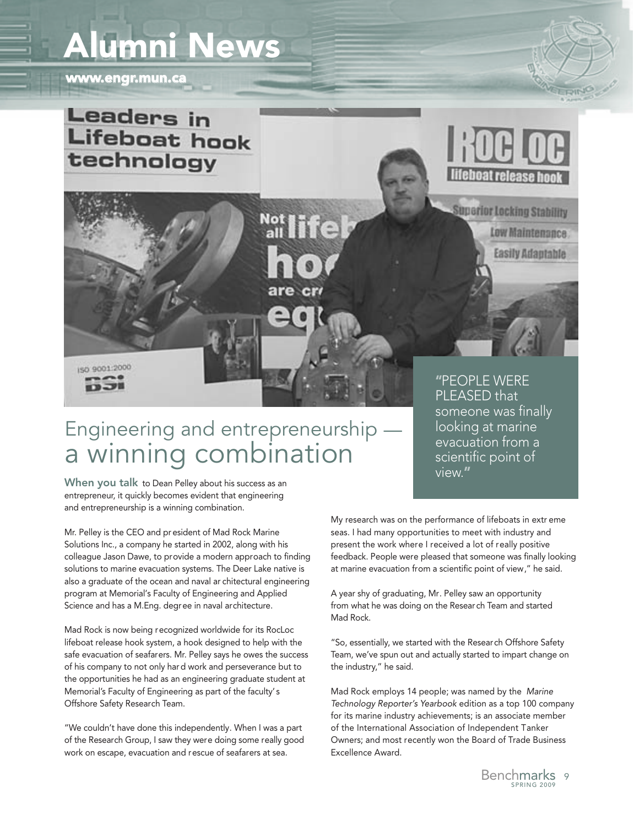# Alumni News

www.engr.mun.ca





# Engineering and entrepreneurship a winning combination

When you talk to Dean Pelley about his success as an entrepreneur, it quickly becomes evident that engineering and entrepreneurship is a winning combination.

Mr. Pelley is the CEO and president of Mad Rock Marine Solutions Inc., a company he started in 2002, along with his colleague Jason Dawe, to provide a modern approach to finding solutions to marine evacuation systems. The Deer Lake native is also a graduate of the ocean and naval ar chitectural engineering program at Memorial's Faculty of Engineering and Applied Science and has a M.Eng. degree in naval architecture.

Mad Rock is now being recognized worldwide for its RocLoc lifeboat release hook system, a hook designed to help with the safe evacuation of seafarers. Mr. Pelley says he owes the success of his company to not only hard work and perseverance but to the opportunities he had as an engineering graduate student at Memorial's Faculty of Engineering as part of the faculty's Offshore Safety Research Team.

"We couldn't have done this independently. When I was a part of the Research Group, I saw they were doing some really good work on escape, evacuation and rescue of seafarers at sea.

someone was finally looking at marine evacuation from a scientific point of view."

My research was on the performance of lifeboats in extr eme seas. I had many opportunities to meet with industry and present the work where I received a lot of really positive feedback. People were pleased that someone was finally looking at marine evacuation from a scientific point of view," he said.

A year shy of graduating, Mr. Pelley saw an opportunity from what he was doing on the Research Team and started Mad Rock.

"So, essentially, we started with the Research Offshore Safety Team, we've spun out and actually started to impart change on the industry," he said.

Mad Rock employs 14 people; was named by the Marine Technology Reporter's Yearbook edition as a top 100 company for its marine industry achievements; is an associate member of the International Association of Independent Tanker Owners; and most recently won the Board of Trade Business Excellence Award.

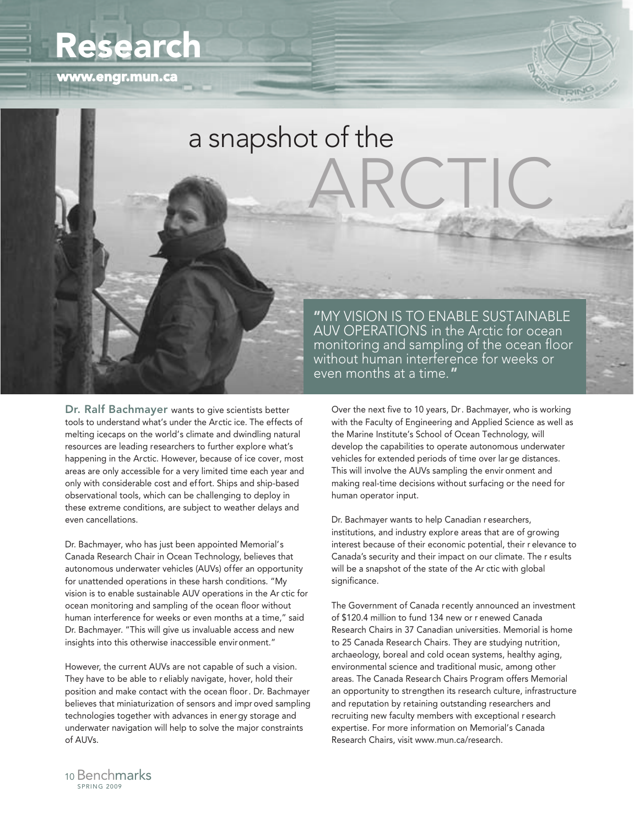# Research

www.engr.mun.ca



# ARCTIC a snapshot of the

Dr. Ralf Bachmayer wants to give scientists better tools to understand what's under the Arctic ice. The effects of melting icecaps on the world's climate and dwindling natural resources are leading researchers to further explore what's happening in the Arctic. However, because of ice cover, most areas are only accessible for a very limited time each year and only with considerable cost and effort. Ships and ship-based observational tools, which can be challenging to deploy in these extreme conditions, are subject to weather delays and even cancellations.

Dr. Bachmayer, who has just been appointed Memorial's Canada Research Chair in Ocean Technology, believes that autonomous underwater vehicles (AUVs) offer an opportunity for unattended operations in these harsh conditions. "My vision is to enable sustainable AUV operations in the Ar ctic for ocean monitoring and sampling of the ocean floor without human interference for weeks or even months at a time," said Dr. Bachmayer. "This will give us invaluable access and new insights into this otherwise inaccessible environment."

However, the current AUVs are not capable of such a vision. They have to be able to r eliably navigate, hover, hold their position and make contact with the ocean floor. Dr. Bachmayer believes that miniaturization of sensors and impr oved sampling technologies together with advances in energy storage and underwater navigation will help to solve the major constraints of AUVs.

"MY VISION IS TO ENABLE SUSTAINABLE AUV OPERATIONS in the Arctic for ocean monitoring and sampling of the ocean floor without human interference for weeks or even months at a time."

Over the next five to 10 years, Dr. Bachmayer, who is working with the Faculty of Engineering and Applied Science as well as the Marine Institute's School of Ocean Technology, will develop the capabilities to operate autonomous underwater vehicles for extended periods of time over lar ge distances. This will involve the AUVs sampling the envir onment and making real-time decisions without surfacing or the need for human operator input.

Dr. Bachmayer wants to help Canadian r esearchers, institutions, and industry explore areas that are of growing interest because of their economic potential, their r elevance to Canada's security and their impact on our climate. The r esults will be a snapshot of the state of the Ar ctic with global significance.

The Government of Canada recently announced an investment of \$120.4 million to fund 134 new or r enewed Canada Research Chairs in 37 Canadian universities. Memorial is home to 25 Canada Research Chairs. They are studying nutrition, archaeology, boreal and cold ocean systems, healthy aging, environmental science and traditional music, among other areas. The Canada Research Chairs Program offers Memorial an opportunity to strengthen its research culture, infrastructure and reputation by retaining outstanding researchers and recruiting new faculty members with exceptional r esearch expertise. For more information on Memorial's Canada Research Chairs, visit www.mun.ca/research.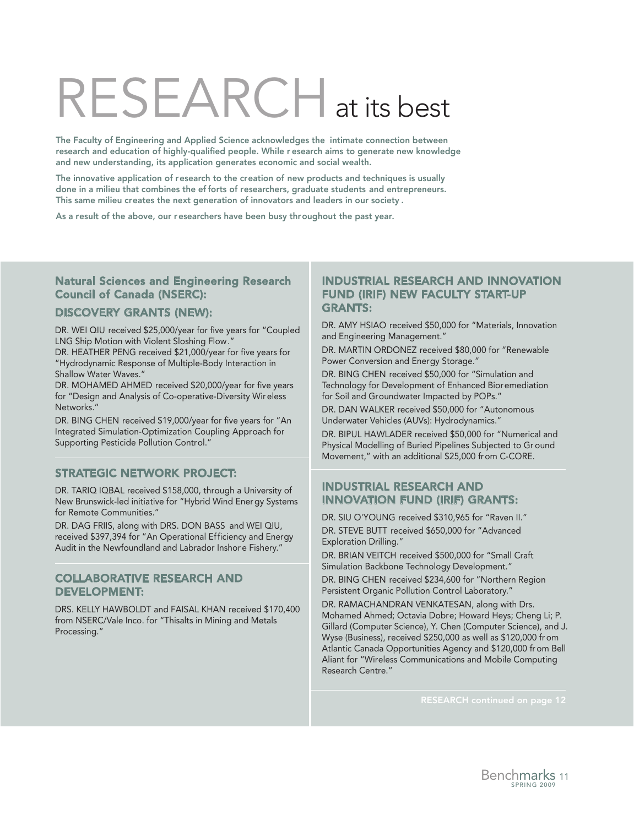# RESEARCHat its best

The Faculty of Engineering and Applied Science acknowledges the intimate connection between research and education of highly-qualified people. While r esearch aims to generate new knowledge and new understanding, its application generates economic and social wealth.

The innovative application of research to the creation of new products and techniques is usually done in a milieu that combines the ef forts of researchers, graduate students and entrepreneurs. This same milieu creates the next generation of innovators and leaders in our society .

As a result of the above, our researchers have been busy throughout the past year.

#### Natural Sciences and Engineering Research Council of Canada (NSERC):

#### DISCOVERY GRANTS (NEW):

DR. WEI QIU received \$25,000/year for five years for "Coupled LNG Ship Motion with Violent Sloshing Flow."

DR. HEATHER PENG received \$21,000/year for five years for "Hydrodynamic Response of Multiple-Body Interaction in Shallow Water Waves."

DR. MOHAMED AHMED received \$20,000/year for five years for "Design and Analysis of Co-operative-Diversity Wir eless Networks."

DR. BING CHEN received \$19,000/year for five years for "An Integrated Simulation-Optimization Coupling Approach for Supporting Pesticide Pollution Control."

#### STRATEGIC NETWORK PROJECT:

DR. TARIQ IQBAL received \$158,000, through a University of New Brunswick-led initiative for "Hybrid Wind Ener gy Systems for Remote Communities."

DR. DAG FRIIS, along with DRS. DON BASS and WEI QIU, received \$397,394 for "An Operational Efficiency and Energy Audit in the Newfoundland and Labrador Inshor e Fishery."

#### COLLABORATIVE RESEARCH AND DEVELOPMENT:

DRS. KELLY HAWBOLDT and FAISAL KHAN received \$170,400 from NSERC/Vale Inco. for "Thisalts in Mining and Metals Processing."

#### INDUSTRIAL RESEARCH AND INNOVATION FUND (IRIF) NEW FACULTY START-UP GRANTS:

DR. AMY HSIAO received \$50,000 for "Materials, Innovation and Engineering Management."

DR. MARTIN ORDONEZ received \$80,000 for "Renewable Power Conversion and Energy Storage."

DR. BING CHEN received \$50,000 for "Simulation and Technology for Development of Enhanced Bioremediation for Soil and Groundwater Impacted by POPs."

DR. DAN WALKER received \$50,000 for "Autonomous Underwater Vehicles (AUVs): Hydrodynamics."

DR. BIPUL HAWLADER received \$50,000 for "Numerical and Physical Modelling of Buried Pipelines Subjected to Gr ound Movement," with an additional \$25,000 from C-CORE.

#### INDUSTRIAL RESEARCH AND INNOVATION FUND (IRIF) GRANTS:

DR. SIU O'YOUNG received \$310,965 for "Raven II." DR. STEVE BUTT received \$650,000 for "Advanced Exploration Drilling."

DR. BRIAN VEITCH received \$500,000 for "Small Craft Simulation Backbone Technology Development."

DR. BING CHEN received \$234,600 for "Northern Region Persistent Organic Pollution Control Laboratory."

DR. RAMACHANDRAN VENKATESAN, along with Drs. Mohamed Ahmed; Octavia Dobre; Howard Heys; Cheng Li; P. Gillard (Computer Science), Y. Chen (Computer Science), and J. Wyse (Business), received \$250,000 as well as \$120,000 fr om Atlantic Canada Opportunities Agency and \$120,000 fr om Bell Aliant for "Wireless Communications and Mobile Computing Research Centre."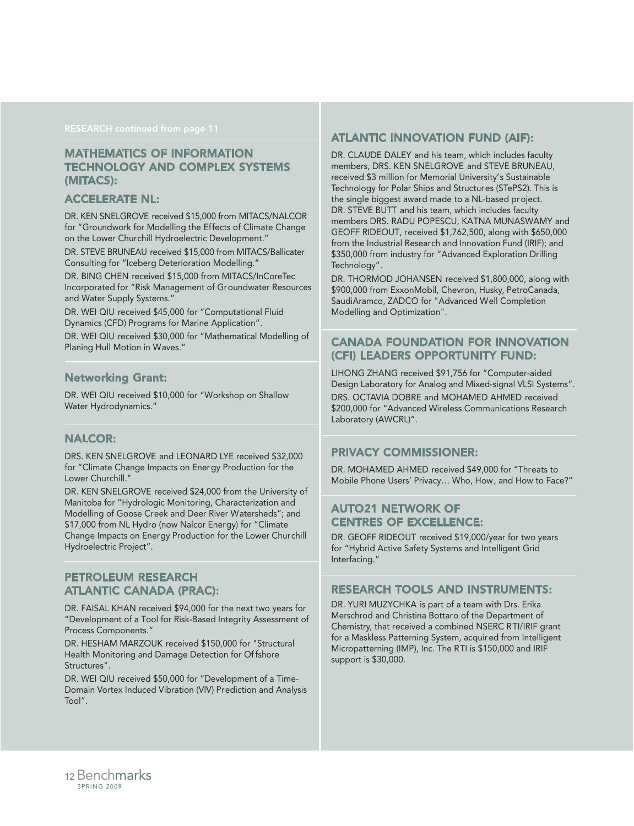#### MATHEMATICS OF INFORMATION TECHNOLOGY AND COMPLEX SYSTEMS (MITACS):

#### ACCELERATE NL:

DR. KEN SNELGROVE received \$15,000 from MITACS/NALCOR for "Groundwork for Modelling the Effects of Climate Change on the Lower Churchill Hydroelectric Development."

DR. STEVE BRUNEAU received \$15,000 from MITACS/Ballicater Consulting for "Iceberg Deterioration Modelling."

DR. BING CHEN received \$15,000 from MITACS/InCoreTec Incorporated for "Risk Management of Groundwater Resources and Water Supply Systems."

DR. WEI QIU received \$45,000 for "Computational Fluid Dynamics (CFD) Programs for Marine Application".

DR. WEI QIU received \$30,000 for "Mathematical Modelling of Planing Hull Motion in Waves."

#### Networking Grant:

DR. WEI QIU received \$10,000 for "Workshop on Shallow Water Hydrodynamics."

#### NALCOR:

DRS. KEN SNELGROVE and LEONARD LYE received \$32,000 for "Climate Change Impacts on Energy Production for the Lower Churchill."

DR. KEN SNELGROVE received \$24,000 from the University of Manitoba for "Hydrologic Monitoring, Characterization and Modelling of Goose Creek and Deer River Watersheds"; and \$17,000 from NL Hydro (now Nalcor Energy) for "Climate Change Impacts on Energy Production for the Lower Churchill Hydroelectric Project".

#### PETROLEUM RESEARCH ATLANTIC CANADA (PRAC):

DR. FAISAL KHAN received \$94,000 for the next two years for "Development of a Tool for Risk-Based Integrity Assessment of Process Components."

DR. HESHAM MARZOUK received \$150,000 for "Structural Health Monitoring and Damage Detection for Of fshore Structures".

DR. WEI QIU received \$50,000 for "Development of a Time-Domain Vortex Induced Vibration (VIV) Prediction and Analysis Tool".

#### ATLANTIC INNOVATION FUND (AIF):

DR. CLAUDE DALEY and his team, which includes faculty members, DRS. KEN SNELGROVE and STEVE BRUNEAU, received \$3 million for Memorial University's Sustainable Technology for Polar Ships and Structures (STePS2). This is the single biggest award made to a NL-based project. DR. STEVE BUTT and his team, which includes faculty members DRS. RADU POPESCU, KATNA MUNASWAMY and GEOFF RIDEOUT, received \$1,762,500, along with \$650,000 from the Industrial Research and Innovation Fund (IRIF); and \$350,000 from industry for "Advanced Exploration Drilling Technology".

DR. THORMOD JOHANSEN received \$1,800,000, along with \$900,000 from ExxonMobil, Chevron, Husky, PetroCanada, SaudiAramco, ZADCO for "Advanced Well Completion Modelling and Optimization".

#### CANADA FOUNDATION FOR INNOVATION (CFI) LEADERS OPPORTUNITY FUND:

LIHONG ZHANG received \$91,756 for "Computer-aided Design Laboratory for Analog and Mixed-signal VLSI Systems". DRS. OCTAVIA DOBRE and MOHAMED AHMED received \$200,000 for "Advanced Wireless Communications Research Laboratory (AWCRL)".

#### PRIVACY COMMISSIONER:

DR. MOHAMED AHMED received \$49,000 for "Threats to Mobile Phone Users' Privacy… Who, How, and How to Face?"

#### AUTO21 NETWORK OF CENTRES OF EXCELLENCE:

DR. GEOFF RIDEOUT received \$19,000/year for two years for "Hybrid Active Safety Systems and Intelligent Grid Interfacing."

#### RESEARCH TOOLS AND INSTRUMENTS:

DR. YURI MUZYCHKA is part of a team with Drs. Erika Merschrod and Christina Bottaro of the Department of Chemistry, that received a combined NSERC RTI/IRIF grant for a Maskless Patterning System, acquired from Intelligent Micropatterning (IMP), Inc. The RTI is \$150,000 and IRIF support is \$30,000.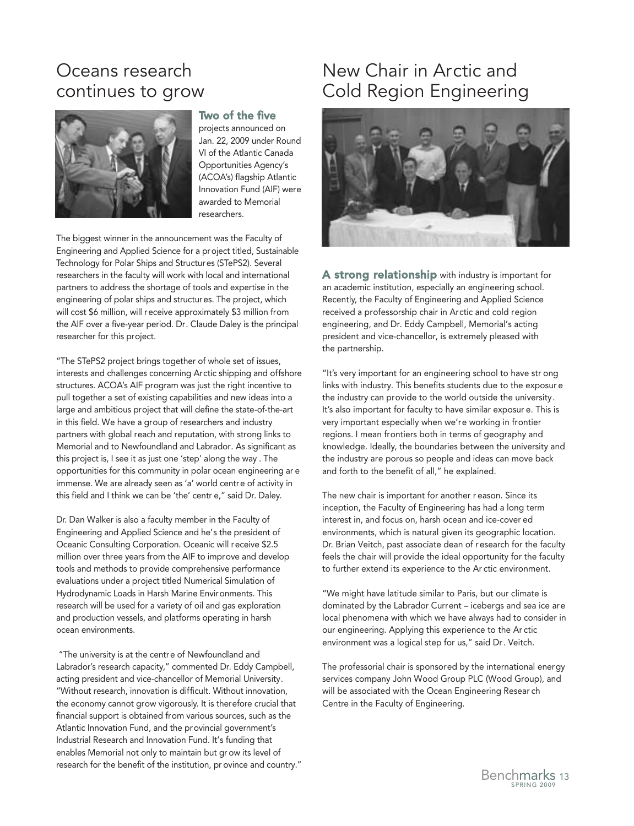## Oceans research continues to grow



#### Two of the five

projects announced on Jan. 22, 2009 under Round VI of the Atlantic Canada Opportunities Agency's (ACOA's) flagship Atlantic Innovation Fund (AIF) were awarded to Memorial researchers.

The biggest winner in the announcement was the Faculty of Engineering and Applied Science for a project titled, Sustainable Technology for Polar Ships and Structures (STePS2). Several researchers in the faculty will work with local and international partners to address the shortage of tools and expertise in the engineering of polar ships and structures. The project, which will cost \$6 million, will receive approximately \$3 million from the AIF over a five-year period. Dr. Claude Daley is the principal researcher for this project.

"The STePS2 project brings together of whole set of issues, interests and challenges concerning Arctic shipping and offshore structures. ACOA's AIF program was just the right incentive to pull together a set of existing capabilities and new ideas into a large and ambitious project that will define the state-of-the-art in this field. We have a group of researchers and industry partners with global reach and reputation, with strong links to Memorial and to Newfoundland and Labrador. As significant as this project is, I see it as just one 'step' along the way . The opportunities for this community in polar ocean engineering ar e immense. We are already seen as 'a' world centre of activity in this field and I think we can be 'the' centr e," said Dr. Daley.

Dr. Dan Walker is also a faculty member in the Faculty of Engineering and Applied Science and he's the president of Oceanic Consulting Corporation. Oceanic will receive \$2.5 million over three years from the AIF to improve and develop tools and methods to provide comprehensive performance evaluations under a project titled Numerical Simulation of Hydrodynamic Loads in Harsh Marine Environments. This research will be used for a variety of oil and gas exploration and production vessels, and platforms operating in harsh ocean environments.

"The university is at the centre of Newfoundland and Labrador's research capacity," commented Dr. Eddy Campbell, acting president and vice-chancellor of Memorial University. "Without research, innovation is difficult. Without innovation, the economy cannot grow vigorously. It is therefore crucial that financial support is obtained from various sources, such as the Atlantic Innovation Fund, and the provincial government's Industrial Research and Innovation Fund. It's funding that enables Memorial not only to maintain but gr ow its level of research for the benefit of the institution, pr ovince and country."

## New Chair in Arctic and Cold Region Engineering



A strong relationship with industry is important for an academic institution, especially an engineering school. Recently, the Faculty of Engineering and Applied Science received a professorship chair in Arctic and cold region engineering, and Dr. Eddy Campbell, Memorial's acting president and vice-chancellor, is extremely pleased with the partnership.

"It's very important for an engineering school to have str ong links with industry. This benefits students due to the exposur e the industry can provide to the world outside the university. It's also important for faculty to have similar exposur e. This is very important especially when we're working in frontier regions. I mean frontiers both in terms of geography and knowledge. Ideally, the boundaries between the university and the industry are porous so people and ideas can move back and forth to the benefit of all," he explained.

The new chair is important for another r eason. Since its inception, the Faculty of Engineering has had a long term interest in, and focus on, harsh ocean and ice-cover ed environments, which is natural given its geographic location. Dr. Brian Veitch, past associate dean of research for the faculty feels the chair will provide the ideal opportunity for the faculty to further extend its experience to the Ar ctic environment.

"We might have latitude similar to Paris, but our climate is dominated by the Labrador Current – icebergs and sea ice are local phenomena with which we have always had to consider in our engineering. Applying this experience to the Ar ctic environment was a logical step for us," said Dr. Veitch.

The professorial chair is sponsored by the international energy services company John Wood Group PLC (Wood Group), and will be associated with the Ocean Engineering Resear ch Centre in the Faculty of Engineering.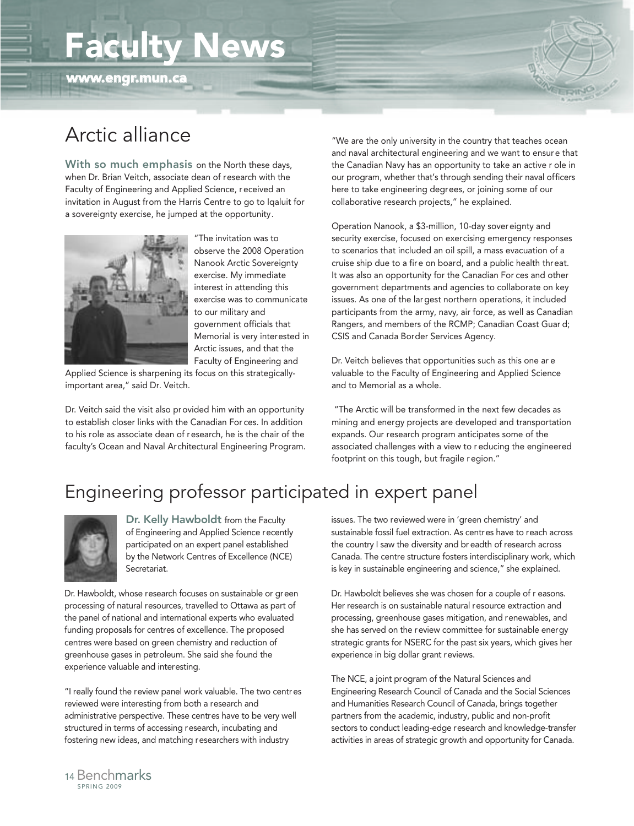# Faculty News



# Arctic alliance

With so much emphasis on the North these days, when Dr. Brian Veitch, associate dean of research with the Faculty of Engineering and Applied Science, r eceived an invitation in August from the Harris Centre to go to Iqaluit for a sovereignty exercise, he jumped at the opportunity.



"The invitation was to observe the 2008 Operation Nanook Arctic Sovereignty exercise. My immediate interest in attending this exercise was to communicate to our military and government officials that Memorial is very interested in Arctic issues, and that the Faculty of Engineering and

Applied Science is sharpening its focus on this strategicallyimportant area," said Dr. Veitch.

Dr. Veitch said the visit also provided him with an opportunity to establish closer links with the Canadian For ces. In addition to his role as associate dean of research, he is the chair of the faculty's Ocean and Naval Architectural Engineering Program. "We are the only university in the country that teaches ocean and naval architectural engineering and we want to ensur e that the Canadian Navy has an opportunity to take an active r ole in our program, whether that's through sending their naval officers here to take engineering degrees, or joining some of our collaborative research projects," he explained.

Operation Nanook, a \$3-million, 10-day sovereignty and security exercise, focused on exercising emergency responses to scenarios that included an oil spill, a mass evacuation of a cruise ship due to a fire on board, and a public health threat. It was also an opportunity for the Canadian For ces and other government departments and agencies to collaborate on key issues. As one of the largest northern operations, it included participants from the army, navy, air force, as well as Canadian Rangers, and members of the RCMP; Canadian Coast Guar d; CSIS and Canada Border Services Agency.

Dr. Veitch believes that opportunities such as this one ar e valuable to the Faculty of Engineering and Applied Science and to Memorial as a whole.

"The Arctic will be transformed in the next few decades as mining and energy projects are developed and transportation expands. Our research program anticipates some of the associated challenges with a view to r educing the engineered footprint on this tough, but fragile r egion."

## Engineering professor participated in expert panel



Dr. Kelly Hawboldt from the Faculty of Engineering and Applied Science recently participated on an expert panel established by the Network Centres of Excellence (NCE) Secretariat.

Dr. Hawboldt, whose research focuses on sustainable or green processing of natural resources, travelled to Ottawa as part of the panel of national and international experts who evaluated funding proposals for centres of excellence. The proposed centres were based on green chemistry and reduction of greenhouse gases in petroleum. She said she found the experience valuable and interesting.

"I really found the review panel work valuable. The two centres reviewed were interesting from both a research and administrative perspective. These centres have to be very well structured in terms of accessing research, incubating and fostering new ideas, and matching researchers with industry

issues. The two reviewed were in 'green chemistry' and sustainable fossil fuel extraction. As centres have to reach across the country I saw the diversity and br eadth of research across Canada. The centre structure fosters interdisciplinary work, which is key in sustainable engineering and science," she explained.

Dr. Hawboldt believes she was chosen for a couple of r easons. Her research is on sustainable natural resource extraction and processing, greenhouse gases mitigation, and renewables, and she has served on the review committee for sustainable energy strategic grants for NSERC for the past six years, which gives her experience in big dollar grant reviews.

The NCE, a joint program of the Natural Sciences and Engineering Research Council of Canada and the Social Sciences and Humanities Research Council of Canada, brings together partners from the academic, industry, public and non-profit sectors to conduct leading-edge research and knowledge-transfer activities in areas of strategic growth and opportunity for Canada.

SPRING 2009 <sup>14</sup> Benchmarks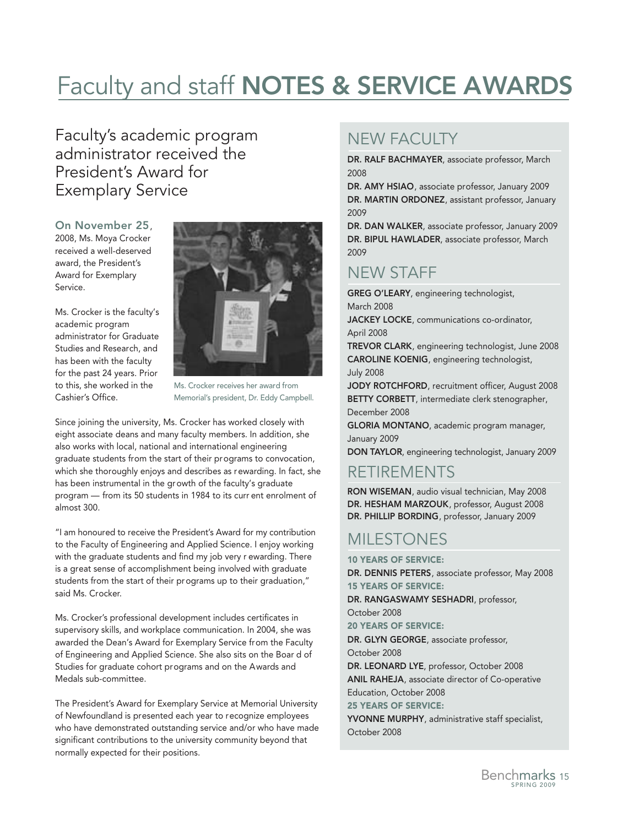# Faculty and staff NOTES & SERVICE AWARDS

### Faculty's academic program administrator received the President's Award for Exemplary Service

On November 25, 2008, Ms. Moya Crocker received a well-deserved award, the President's Award for Exemplary Service.

Ms. Crocker is the faculty's academic program administrator for Graduate Studies and Research, and has been with the faculty for the past 24 years. Prior to this, she worked in the Cashier's Office.



Ms. Crocker receives her award from Memorial's president, Dr. Eddy Campbell.

Since joining the university, Ms. Crocker has worked closely with eight associate deans and many faculty members. In addition, she also works with local, national and international engineering graduate students from the start of their programs to convocation, which she thoroughly enjoys and describes as rewarding. In fact, she has been instrumental in the growth of the faculty's graduate program — from its 50 students in 1984 to its curr ent enrolment of almost 300.

"I am honoured to receive the President's Award for my contribution to the Faculty of Engineering and Applied Science. I enjoy working with the graduate students and find my job very r ewarding. There is a great sense of accomplishment being involved with graduate students from the start of their programs up to their graduation," said Ms. Crocker.

Ms. Crocker's professional development includes certificates in supervisory skills, and workplace communication. In 2004, she was awarded the Dean's Award for Exemplary Service from the Faculty of Engineering and Applied Science. She also sits on the Boar d of Studies for graduate cohort programs and on the Awards and Medals sub-committee.

The President's Award for Exemplary Service at Memorial University of Newfoundland is presented each year to recognize employees who have demonstrated outstanding service and/or who have made significant contributions to the university community beyond that normally expected for their positions.

## NEW FACULTY

DR. RALF BACHMAYER, associate professor, March 2008

DR. AMY HSIAO, associate professor, January 2009 DR. MARTIN ORDONEZ, assistant professor, January 2009

DR. DAN WALKER, associate professor, January 2009 DR. BIPUL HAWLADER, associate professor, March 2009

### NEW STAFF

GREG O'LEARY, engineering technologist, March 2008

JACKEY LOCKE, communications co-ordinator, April 2008

TREVOR CLARK, engineering technologist, June 2008 CAROLINE KOENIG, engineering technologist, July 2008

JODY ROTCHFORD, recruitment officer, August 2008 BETTY CORBETT, intermediate clerk stenographer, December 2008

GLORIA MONTANO, academic program manager, January 2009

DON TAYLOR, engineering technologist, January 2009

### RETIREMENTS

RON WISEMAN, audio visual technician, May 2008 DR. HESHAM MARZOUK, professor, August 2008 DR. PHILLIP BORDING, professor, January 2009

## MILESTONES

10 YEARS OF SERVICE:

DR. DENNIS PETERS, associate professor, May 2008 15 YEARS OF SERVICE: DR. RANGASWAMY SESHADRI, professor, October 2008 20 YEARS OF SERVICE: DR. GLYN GEORGE, associate professor, October 2008 DR. LEONARD LYE, professor, October 2008 ANIL RAHEJA, associate director of Co-operative Education, October 2008 25 YEARS OF SERVICE: YVONNE MURPHY, administrative staff specialist, October 2008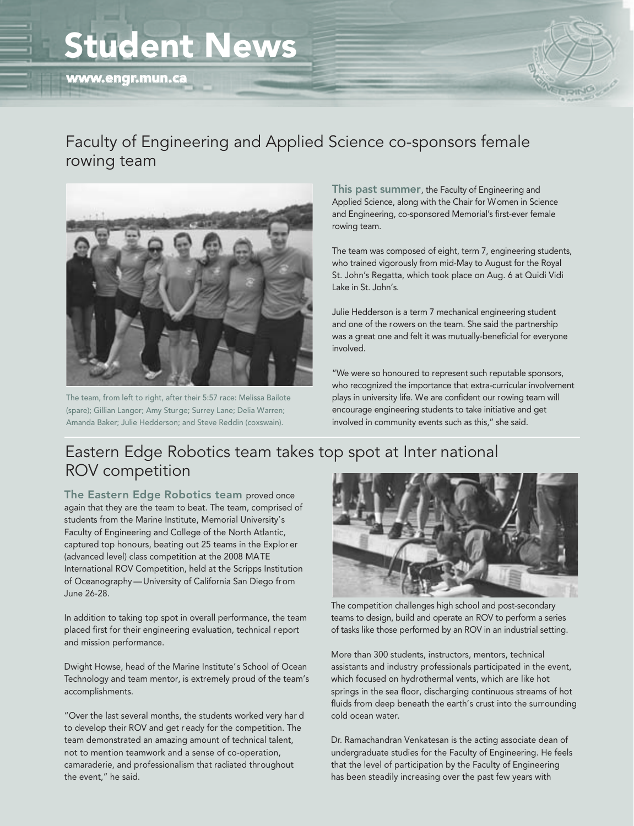# Student News



### Faculty of Engineering and Applied Science co-sponsors female rowing team



The team, from left to right, after their 5:57 race: Melissa Bailote (spare); Gillian Langor; Amy Sturge; Surrey Lane; Delia Warren; Amanda Baker; Julie Hedderson; and Steve Reddin (coxswain).

This past summer, the Faculty of Engineering and Applied Science, along with the Chair for Women in Science and Engineering, co-sponsored Memorial's first-ever female rowing team.

The team was composed of eight, term 7, engineering students, who trained vigorously from mid-May to August for the Royal St. John's Regatta, which took place on Aug. 6 at Quidi Vidi Lake in St. John's.

Julie Hedderson is a term 7 mechanical engineering student and one of the rowers on the team. She said the partnership was a great one and felt it was mutually-beneficial for everyone involved.

"We were so honoured to represent such reputable sponsors, who recognized the importance that extra-curricular involvement plays in university life. We are confident our rowing team will encourage engineering students to take initiative and get involved in community events such as this," she said.

## Eastern Edge Robotics team takes top spot at Inter national ROV competition

The Eastern Edge Robotics team proved once again that they are the team to beat. The team, comprised of students from the Marine Institute, Memorial University's Faculty of Engineering and College of the North Atlantic, captured top honours, beating out 25 teams in the Explor er (advanced level) class competition at the 2008 MATE International ROV Competition, held at the Scripps Institution of Oceanography — University of California San Diego from June 26-28.

In addition to taking top spot in overall performance, the team placed first for their engineering evaluation, technical r eport and mission performance.

Dwight Howse, head of the Marine Institute's School of Ocean Technology and team mentor, is extremely proud of the team's accomplishments.

"Over the last several months, the students worked very har d to develop their ROV and get r eady for the competition. The team demonstrated an amazing amount of technical talent, not to mention teamwork and a sense of co-operation, camaraderie, and professionalism that radiated throughout the event," he said.



The competition challenges high school and post-secondary teams to design, build and operate an ROV to perform a series of tasks like those performed by an ROV in an industrial setting.

More than 300 students, instructors, mentors, technical assistants and industry professionals participated in the event, which focused on hydrothermal vents, which are like hot springs in the sea floor, discharging continuous streams of hot fluids from deep beneath the earth's crust into the surrounding cold ocean water.

Dr. Ramachandran Venkatesan is the acting associate dean of undergraduate studies for the Faculty of Engineering. He feels that the level of participation by the Faculty of Engineering has been steadily increasing over the past few years with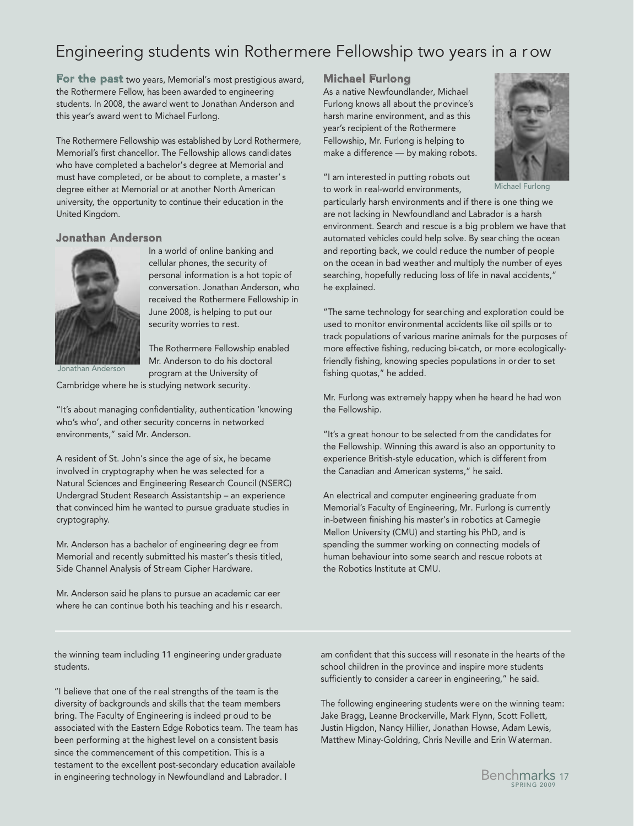## Engineering students win Rothermere Fellowship two years in a r ow

**For the past** two years, Memorial's most prestigious award, the Rothermere Fellow, has been awarded to engineering students. In 2008, the award went to Jonathan Anderson and this year's award went to Michael Furlong.

The Rothermere Fellowship was established by Lord Rothermere, Memorial's first chancellor. The Fellowship allows candidates who have completed a bachelor's degree at Memorial and must have completed, or be about to complete, a master' s degree either at Memorial or at another North American university, the opportunity to continue their education in the United Kingdom.

#### Jonathan Anderson



In a world of online banking and cellular phones, the security of personal information is a hot topic of conversation. Jonathan Anderson, who received the Rothermere Fellowship in June 2008, is helping to put our

Jonathan Anderson

security worries to rest. The Rothermere Fellowship enabled Mr. Anderson to do his doctoral

program at the University of Cambridge where he is studying network security.

"It's about managing confidentiality, authentication 'knowing who's who', and other security concerns in networked environments," said Mr. Anderson.

A resident of St. John's since the age of six, he became involved in cryptography when he was selected for a Natural Sciences and Engineering Research Council (NSERC) Undergrad Student Research Assistantship – an experience that convinced him he wanted to pursue graduate studies in cryptography.

Mr. Anderson has a bachelor of engineering degr ee from Memorial and recently submitted his master's thesis titled, Side Channel Analysis of Stream Cipher Hardware.

Mr. Anderson said he plans to pursue an academic car eer where he can continue both his teaching and his r esearch.

#### Michael Furlong

As a native Newfoundlander, Michael Furlong knows all about the province's harsh marine environment, and as this year's recipient of the Rothermere Fellowship, Mr. Furlong is helping to make a difference — by making robots.

"I am interested in putting robots out to work in real-world environments,



Michael Furlong

particularly harsh environments and if there is one thing we are not lacking in Newfoundland and Labrador is a harsh environment. Search and rescue is a big problem we have that automated vehicles could help solve. By sear ching the ocean and reporting back, we could reduce the number of people on the ocean in bad weather and multiply the number of eyes searching, hopefully reducing loss of life in naval accidents," he explained.

"The same technology for searching and exploration could be used to monitor environmental accidents like oil spills or to track populations of various marine animals for the purposes of more effective fishing, reducing bi-catch, or more ecologicallyfriendly fishing, knowing species populations in or der to set fishing quotas," he added.

Mr. Furlong was extremely happy when he heard he had won the Fellowship.

"It's a great honour to be selected from the candidates for the Fellowship. Winning this award is also an opportunity to experience British-style education, which is different from the Canadian and American systems," he said.

An electrical and computer engineering graduate fr om Memorial's Faculty of Engineering, Mr. Furlong is currently in-between finishing his master's in robotics at Carnegie Mellon University (CMU) and starting his PhD, and is spending the summer working on connecting models of human behaviour into some search and rescue robots at the Robotics Institute at CMU.

the winning team including 11 engineering under graduate students.

"I believe that one of the r eal strengths of the team is the diversity of backgrounds and skills that the team members bring. The Faculty of Engineering is indeed pr oud to be associated with the Eastern Edge Robotics team. The team has been performing at the highest level on a consistent basis since the commencement of this competition. This is a testament to the excellent post-secondary education available in engineering technology in Newfoundland and Labrador. I

am confident that this success will r esonate in the hearts of the school children in the province and inspire more students sufficiently to consider a career in engineering," he said.

The following engineering students were on the winning team: Jake Bragg, Leanne Brockerville, Mark Flynn, Scott Follett, Justin Higdon, Nancy Hillier, Jonathan Howse, Adam Lewis, Matthew Minay-Goldring, Chris Neville and Erin Waterman.

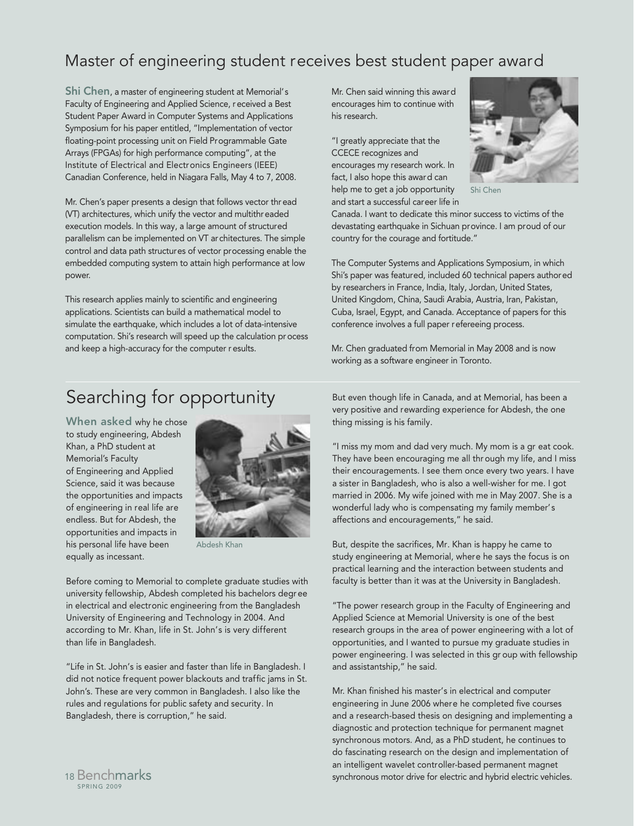## Master of engineering student receives best student paper award

Shi Chen, a master of engineering student at Memorial's Faculty of Engineering and Applied Science, received a Best Student Paper Award in Computer Systems and Applications Symposium for his paper entitled, "Implementation of vector floating-point processing unit on Field Programmable Gate Arrays (FPGAs) for high performance computing", at the Institute of Electrical and Electronics Engineers (IEEE) Canadian Conference, held in Niagara Falls, May 4 to 7, 2008.

Mr. Chen's paper presents a design that follows vector thread (VT) architectures, which unify the vector and multithreaded execution models. In this way, a large amount of structured parallelism can be implemented on VT architectures. The simple control and data path structures of vector processing enable the embedded computing system to attain high performance at low power.

This research applies mainly to scientific and engineering applications. Scientists can build a mathematical model to simulate the earthquake, which includes a lot of data-intensive computation. Shi's research will speed up the calculation process and keep a high-accuracy for the computer r esults.

Mr. Chen said winning this award encourages him to continue with his research.

"I greatly appreciate that the CCECE recognizes and encourages my research work. In fact, I also hope this award can help me to get a job opportunity and start a successful career life in



Shi Chen

Canada. I want to dedicate this minor success to victims of the devastating earthquake in Sichuan province. I am proud of our country for the courage and fortitude."

The Computer Systems and Applications Symposium, in which Shi's paper was featured, included 60 technical papers authored by researchers in France, India, Italy, Jordan, United States, United Kingdom, China, Saudi Arabia, Austria, Iran, Pakistan, Cuba, Israel, Egypt, and Canada. Acceptance of papers for this conference involves a full paper refereeing process.

Mr. Chen graduated from Memorial in May 2008 and is now working as a software engineer in Toronto.

## Searching for opportunity

When asked why he chose to study engineering, Abdesh Khan, a PhD student at Memorial's Faculty of Engineering and Applied Science, said it was because the opportunities and impacts of engineering in real life are endless. But for Abdesh, the opportunities and impacts in his personal life have been equally as incessant.



Abdesh Khan

Before coming to Memorial to complete graduate studies with university fellowship, Abdesh completed his bachelors degr ee in electrical and electronic engineering from the Bangladesh University of Engineering and Technology in 2004. And according to Mr. Khan, life in St. John's is very different than life in Bangladesh.

"Life in St. John's is easier and faster than life in Bangladesh. I did not notice frequent power blackouts and traffic jams in St. John's. These are very common in Bangladesh. I also like the rules and regulations for public safety and security. In Bangladesh, there is corruption," he said.

But even though life in Canada, and at Memorial, has been a very positive and rewarding experience for Abdesh, the one thing missing is his family.

"I miss my mom and dad very much. My mom is a gr eat cook. They have been encouraging me all thr ough my life, and I miss their encouragements. I see them once every two years. I have a sister in Bangladesh, who is also a well-wisher for me. I got married in 2006. My wife joined with me in May 2007. She is a wonderful lady who is compensating my family member's affections and encouragements," he said.

But, despite the sacrifices, Mr. Khan is happy he came to study engineering at Memorial, where he says the focus is on practical learning and the interaction between students and faculty is better than it was at the University in Bangladesh.

"The power research group in the Faculty of Engineering and Applied Science at Memorial University is one of the best research groups in the area of power engineering with a lot of opportunities, and I wanted to pursue my graduate studies in power engineering. I was selected in this gr oup with fellowship and assistantship," he said.

Mr. Khan finished his master's in electrical and computer engineering in June 2006 where he completed five courses and a research-based thesis on designing and implementing a diagnostic and protection technique for permanent magnet synchronous motors. And, as a PhD student, he continues to do fascinating research on the design and implementation of an intelligent wavelet controller-based permanent magnet synchronous motor drive for electric and hybrid electric vehicles.

SPRING 2009 <sup>18</sup> Benchmarks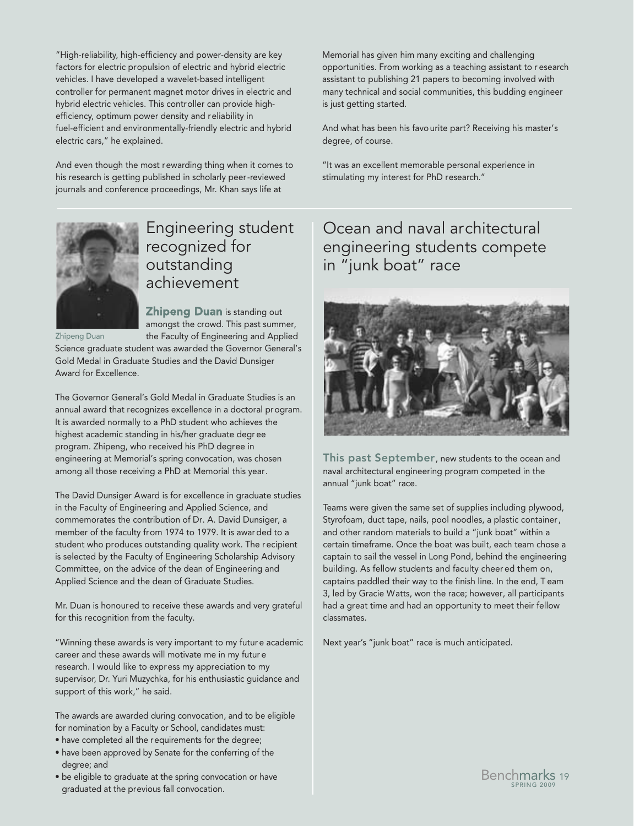"High-reliability, high-efficiency and power-density are key factors for electric propulsion of electric and hybrid electric vehicles. I have developed a wavelet-based intelligent controller for permanent magnet motor drives in electric and hybrid electric vehicles. This controller can provide highefficiency, optimum power density and reliability in fuel-efficient and environmentally-friendly electric and hybrid electric cars," he explained.

And even though the most rewarding thing when it comes to his research is getting published in scholarly peer-reviewed journals and conference proceedings, Mr. Khan says life at

Memorial has given him many exciting and challenging opportunities. From working as a teaching assistant to r esearch assistant to publishing 21 papers to becoming involved with many technical and social communities, this budding engineer is just getting started.

And what has been his favourite part? Receiving his master's degree, of course.

"It was an excellent memorable personal experience in stimulating my interest for PhD research."



### Engineering student recognized for outstanding achievement

Zhipeng Duan

**Zhipeng Duan** is standing out amongst the crowd. This past summer, the Faculty of Engineering and Applied

Science graduate student was awarded the Governor General's Gold Medal in Graduate Studies and the David Dunsiger Award for Excellence.

The Governor General's Gold Medal in Graduate Studies is an annual award that recognizes excellence in a doctoral program. It is awarded normally to a PhD student who achieves the highest academic standing in his/her graduate degr ee program. Zhipeng, who received his PhD degree in engineering at Memorial's spring convocation, was chosen among all those receiving a PhD at Memorial this year.

The David Dunsiger Award is for excellence in graduate studies in the Faculty of Engineering and Applied Science, and commemorates the contribution of Dr. A. David Dunsiger, a member of the faculty from 1974 to 1979. It is awar ded to a student who produces outstanding quality work. The recipient is selected by the Faculty of Engineering Scholarship Advisory Committee, on the advice of the dean of Engineering and Applied Science and the dean of Graduate Studies.

Mr. Duan is honoured to receive these awards and very grateful for this recognition from the faculty.

"Winning these awards is very important to my futur e academic career and these awards will motivate me in my futur e research. I would like to express my appreciation to my supervisor, Dr. Yuri Muzychka, for his enthusiastic guidance and support of this work," he said.

The awards are awarded during convocation, and to be eligible for nomination by a Faculty or School, candidates must:

- have completed all the requirements for the degree;
- have been approved by Senate for the conferring of the degree; and
- be eligible to graduate at the spring convocation or have graduated at the previous fall convocation.

Ocean and naval architectural engineering students compete in "junk boat" race



This past September, new students to the ocean and naval architectural engineering program competed in the annual "junk boat" race.

Teams were given the same set of supplies including plywood, Styrofoam, duct tape, nails, pool noodles, a plastic container, and other random materials to build a "junk boat" within a certain timeframe. Once the boat was built, each team chose a captain to sail the vessel in Long Pond, behind the engineering building. As fellow students and faculty cheer ed them on, captains paddled their way to the finish line. In the end, T eam 3, led by Gracie Watts, won the race; however, all participants had a great time and had an opportunity to meet their fellow classmates.

Next year's "junk boat" race is much anticipated.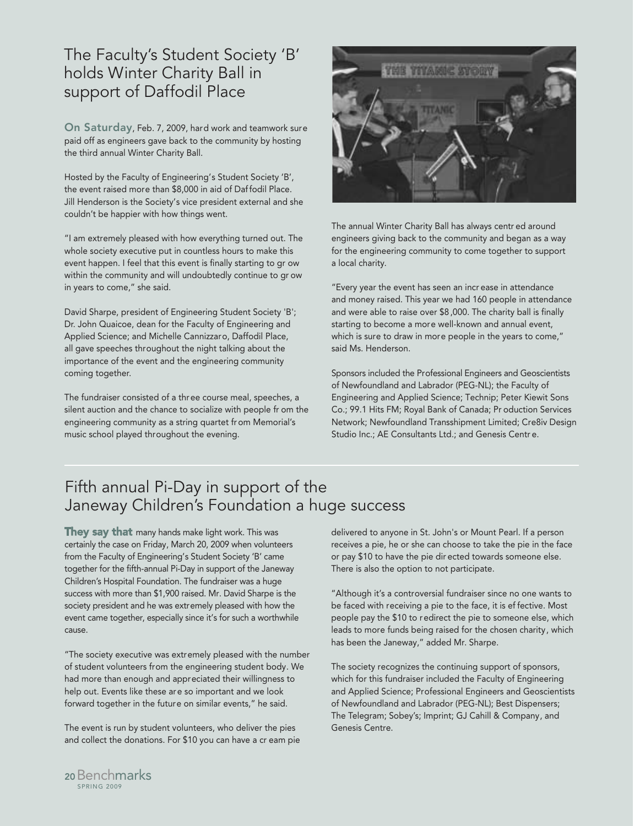### The Faculty's Student Society 'B' holds Winter Charity Ball in support of Daffodil Place

On Saturday, Feb. 7, 2009, hard work and teamwork sure paid off as engineers gave back to the community by hosting the third annual Winter Charity Ball.

Hosted by the Faculty of Engineering's Student Society 'B', the event raised more than \$8,000 in aid of Daf fodil Place. Jill Henderson is the Society's vice president external and she couldn't be happier with how things went.

"I am extremely pleased with how everything turned out. The whole society executive put in countless hours to make this event happen. I feel that this event is finally starting to gr ow within the community and will undoubtedly continue to gr ow in years to come," she said.

David Sharpe, president of Engineering Student Society 'B'; Dr. John Quaicoe, dean for the Faculty of Engineering and Applied Science; and Michelle Cannizzaro, Daffodil Place, all gave speeches throughout the night talking about the importance of the event and the engineering community coming together.

The fundraiser consisted of a three course meal, speeches, a silent auction and the chance to socialize with people fr om the engineering community as a string quartet fr om Memorial's music school played throughout the evening.



The annual Winter Charity Ball has always centr ed around engineers giving back to the community and began as a way for the engineering community to come together to support a local charity.

"Every year the event has seen an incr ease in attendance and money raised. This year we had 160 people in attendance and were able to raise over \$8 ,000. The charity ball is finally starting to become a more well-known and annual event, which is sure to draw in more people in the years to come," said Ms. Henderson.

Sponsors included the Professional Engineers and Geoscientists of Newfoundland and Labrador (PEG-NL); the Faculty of Engineering and Applied Science; Technip; Peter Kiewit Sons Co.; 99.1 Hits FM; Royal Bank of Canada; Pr oduction Services Network; Newfoundland Transshipment Limited; Cre8iv Design Studio Inc.; AE Consultants Ltd.; and Genesis Centr e.

### Fifth annual Pi-Day in support of the Janeway Children's Foundation a huge success

They say that many hands make light work. This was certainly the case on Friday, March 20, 2009 when volunteers from the Faculty of Engineering's Student Society 'B' came together for the fifth-annual Pi-Day in support of the Janeway Children's Hospital Foundation. The fundraiser was a huge success with more than \$1,900 raised. Mr. David Sharpe is the society president and he was extremely pleased with how the event came together, especially since it's for such a worthwhile cause.

"The society executive was extremely pleased with the number of student volunteers from the engineering student body. We had more than enough and appreciated their willingness to help out. Events like these are so important and we look forward together in the future on similar events," he said.

The event is run by student volunteers, who deliver the pies and collect the donations. For \$10 you can have a cr eam pie delivered to anyone in St. John's or Mount Pearl. If a person receives a pie, he or she can choose to take the pie in the face or pay \$10 to have the pie dir ected towards someone else. There is also the option to not participate.

"Although it's a controversial fundraiser since no one wants to be faced with receiving a pie to the face, it is ef fective. Most people pay the \$10 to redirect the pie to someone else, which leads to more funds being raised for the chosen charity, which has been the Janeway," added Mr. Sharpe.

The society recognizes the continuing support of sponsors, which for this fundraiser included the Faculty of Engineering and Applied Science; Professional Engineers and Geoscientists of Newfoundland and Labrador (PEG-NL); Best Dispensers; The Telegram; Sobey's; Imprint; GJ Cahill & Company, and Genesis Centre.